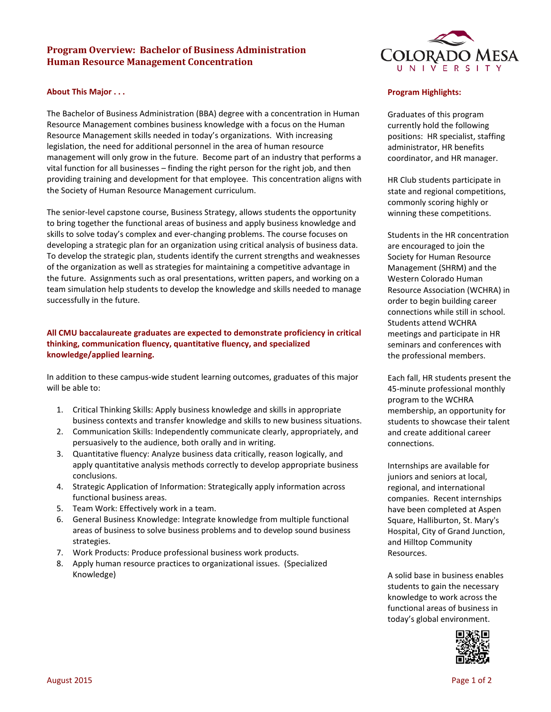# **Program Overview: Bachelor of Business Administration Human Resource Management Concentration**

## **About This Major . . .**

The Bachelor of Business Administration (BBA) degree with a concentration in Human Resource Management combines business knowledge with a focus on the Human Resource Management skills needed in today's organizations. With increasing legislation, the need for additional personnel in the area of human resource management will only grow in the future. Become part of an industry that performs a vital function for all businesses – finding the right person for the right job, and then providing training and development for that employee. This concentration aligns with the Society of Human Resource Management curriculum.

The senior-level capstone course, Business Strategy, allows students the opportunity to bring together the functional areas of business and apply business knowledge and skills to solve today's complex and ever-changing problems. The course focuses on developing a strategic plan for an organization using critical analysis of business data. To develop the strategic plan, students identify the current strengths and weaknesses of the organization as well as strategies for maintaining a competitive advantage in the future. Assignments such as oral presentations, written papers, and working on a team simulation help students to develop the knowledge and skills needed to manage successfully in the future.

## **All CMU baccalaureate graduates are expected to demonstrate proficiency in critical thinking, communication fluency, quantitative fluency, and specialized knowledge/applied learning.**

In addition to these campus-wide student learning outcomes, graduates of this major will be able to:

- 1. Critical Thinking Skills: Apply business knowledge and skills in appropriate business contexts and transfer knowledge and skills to new business situations.
- 2. Communication Skills: Independently communicate clearly, appropriately, and persuasively to the audience, both orally and in writing.
- 3. Quantitative fluency: Analyze business data critically, reason logically, and apply quantitative analysis methods correctly to develop appropriate business conclusions.
- 4. Strategic Application of Information: Strategically apply information across functional business areas.
- 5. Team Work: Effectively work in a team.
- 6. General Business Knowledge: Integrate knowledge from multiple functional areas of business to solve business problems and to develop sound business strategies.
- 7. Work Products: Produce professional business work products.
- 8. Apply human resource practices to organizational issues. (Specialized Knowledge)



#### **Program Highlights:**

Graduates of this program currently hold the following positions: HR specialist, staffing administrator, HR benefits coordinator, and HR manager.

HR Club students participate in state and regional competitions, commonly scoring highly or winning these competitions.

Students in the HR concentration are encouraged to join the Society for Human Resource Management (SHRM) and the Western Colorado Human Resource Association (WCHRA) in order to begin building career connections while still in school. Students attend WCHRA meetings and participate in HR seminars and conferences with the professional members.

Each fall, HR students present the 45-minute professional monthly program to the WCHRA membership, an opportunity for students to showcase their talent and create additional career connections.

Internships are available for juniors and seniors at local, regional, and international companies. Recent internships have been completed at Aspen Square, Halliburton, St. Mary's Hospital, City of Grand Junction, and Hilltop Community Resources.

A solid base in business enables students to gain the necessary knowledge to work across the functional areas of business in today's global environment.